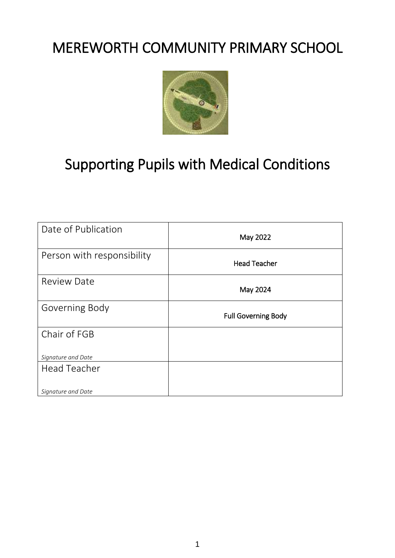# MEREWORTH COMMUNITY PRIMARY SCHOOL



# Supporting Pupils with Medical Conditions

| Date of Publication        | May 2022                   |
|----------------------------|----------------------------|
| Person with responsibility | <b>Head Teacher</b>        |
| <b>Review Date</b>         | May 2024                   |
| Governing Body             | <b>Full Governing Body</b> |
| Chair of FGB               |                            |
| Signature and Date         |                            |
| <b>Head Teacher</b>        |                            |
| Signature and Date         |                            |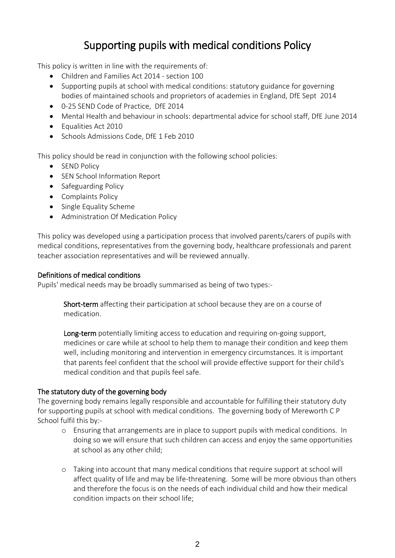## Supporting pupils with medical conditions Policy

This policy is written in line with the requirements of:

- Children and Families Act 2014 section 100
- Supporting pupils at school with medical conditions: statutory guidance for governing bodies of maintained schools and proprietors of academies in England, DfE Sept 2014
- 0-25 SEND Code of Practice, DfE 2014
- Mental Health and behaviour in schools: departmental advice for school staff, DfE June 2014
- Equalities Act 2010
- Schools Admissions Code, DfE 1 Feb 2010

This policy should be read in conjunction with the following school policies:

- SEND Policy
- SEN School Information Report
- Safeguarding Policy
- Complaints Policy
- Single Equality Scheme
- Administration Of Medication Policy

This policy was developed using a participation process that involved parents/carers of pupils with medical conditions, representatives from the governing body, healthcare professionals and parent teacher association representatives and will be reviewed annually.

#### Definitions of medical conditions

Pupils' medical needs may be broadly summarised as being of two types:-

Short-term affecting their participation at school because they are on a course of medication.

Long-term potentially limiting access to education and requiring on-going support, medicines or care while at school to help them to manage their condition and keep them well, including monitoring and intervention in emergency circumstances. It is important that parents feel confident that the school will provide effective support for their child's medical condition and that pupils feel safe.

#### The statutory duty of the governing body

The governing body remains legally responsible and accountable for fulfilling their statutory duty for supporting pupils at school with medical conditions. The governing body of Mereworth C P School fulfil this by:-

- o Ensuring that arrangements are in place to support pupils with medical conditions. In doing so we will ensure that such children can access and enjoy the same opportunities at school as any other child;
- o Taking into account that many medical conditions that require support at school will affect quality of life and may be life-threatening. Some will be more obvious than others and therefore the focus is on the needs of each individual child and how their medical condition impacts on their school life;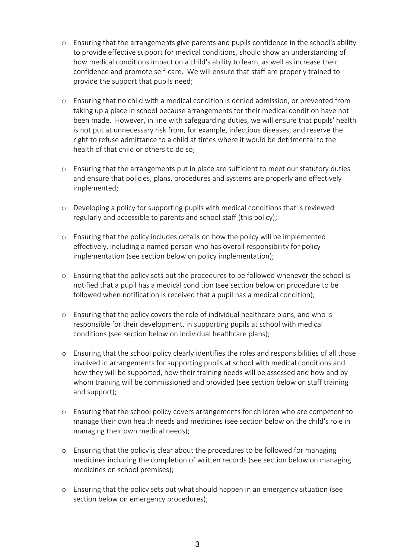- o Ensuring that the arrangements give parents and pupils confidence in the school's ability to provide effective support for medical conditions, should show an understanding of how medical conditions impact on a child's ability to learn, as well as increase their confidence and promote self-care. We will ensure that staff are properly trained to provide the support that pupils need;
- o Ensuring that no child with a medical condition is denied admission, or prevented from taking up a place in school because arrangements for their medical condition have not been made. However, in line with safeguarding duties, we will ensure that pupils' health is not put at unnecessary risk from, for example, infectious diseases, and reserve the right to refuse admittance to a child at times where it would be detrimental to the health of that child or others to do so;
- o Ensuring that the arrangements put in place are sufficient to meet our statutory duties and ensure that policies, plans, procedures and systems are properly and effectively implemented;
- o Developing a policy for supporting pupils with medical conditions that is reviewed regularly and accessible to parents and school staff (this policy);
- o Ensuring that the policy includes details on how the policy will be implemented effectively, including a named person who has overall responsibility for policy implementation (see section below on policy implementation);
- o Ensuring that the policy sets out the procedures to be followed whenever the school is notified that a pupil has a medical condition (see section below on procedure to be followed when notification is received that a pupil has a medical condition);
- o Ensuring that the policy covers the role of individual healthcare plans, and who is responsible for their development, in supporting pupils at school with medical conditions (see section below on individual healthcare plans);
- o Ensuring that the school policy clearly identifies the roles and responsibilities of all those involved in arrangements for supporting pupils at school with medical conditions and how they will be supported, how their training needs will be assessed and how and by whom training will be commissioned and provided (see section below on staff training and support);
- o Ensuring that the school policy covers arrangements for children who are competent to manage their own health needs and medicines (see section below on the child's role in managing their own medical needs);
- o Ensuring that the policy is clear about the procedures to be followed for managing medicines including the completion of written records (see section below on managing medicines on school premises);
- o Ensuring that the policy sets out what should happen in an emergency situation (see section below on emergency procedures);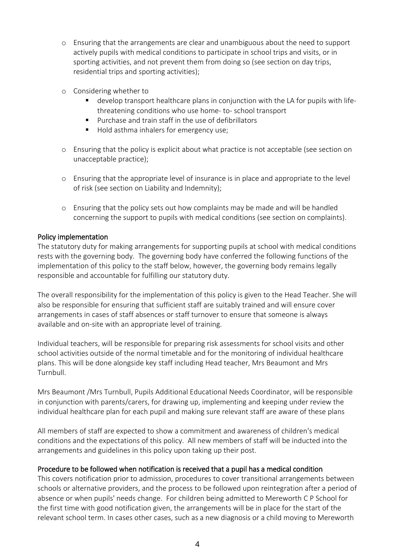- o Ensuring that the arrangements are clear and unambiguous about the need to support actively pupils with medical conditions to participate in school trips and visits, or in sporting activities, and not prevent them from doing so (see section on day trips, residential trips and sporting activities);
- o Considering whether to
	- develop transport healthcare plans in conjunction with the LA for pupils with lifethreatening conditions who use home- to- school transport
	- **Purchase and train staff in the use of defibrillators**
	- Hold asthma inhalers for emergency use;
- o Ensuring that the policy is explicit about what practice is not acceptable (see section on unacceptable practice);
- o Ensuring that the appropriate level of insurance is in place and appropriate to the level of risk (see section on Liability and Indemnity);
- o Ensuring that the policy sets out how complaints may be made and will be handled concerning the support to pupils with medical conditions (see section on complaints).

#### Policy implementation

The statutory duty for making arrangements for supporting pupils at school with medical conditions rests with the governing body. The governing body have conferred the following functions of the implementation of this policy to the staff below, however, the governing body remains legally responsible and accountable for fulfilling our statutory duty.

The overall responsibility for the implementation of this policy is given to the Head Teacher. She will also be responsible for ensuring that sufficient staff are suitably trained and will ensure cover arrangements in cases of staff absences or staff turnover to ensure that someone is always available and on-site with an appropriate level of training.

Individual teachers, will be responsible for preparing risk assessments for school visits and other school activities outside of the normal timetable and for the monitoring of individual healthcare plans. This will be done alongside key staff including Head teacher, Mrs Beaumont and Mrs Turnbull.

Mrs Beaumont /Mrs Turnbull, Pupils Additional Educational Needs Coordinator, will be responsible in conjunction with parents/carers, for drawing up, implementing and keeping under review the individual healthcare plan for each pupil and making sure relevant staff are aware of these plans

All members of staff are expected to show a commitment and awareness of children's medical conditions and the expectations of this policy. All new members of staff will be inducted into the arrangements and guidelines in this policy upon taking up their post.

#### Procedure to be followed when notification is received that a pupil has a medical condition

This covers notification prior to admission, procedures to cover transitional arrangements between schools or alternative providers, and the process to be followed upon reintegration after a period of absence or when pupils' needs change. For children being admitted to Mereworth C P School for the first time with good notification given, the arrangements will be in place for the start of the relevant school term. In cases other cases, such as a new diagnosis or a child moving to Mereworth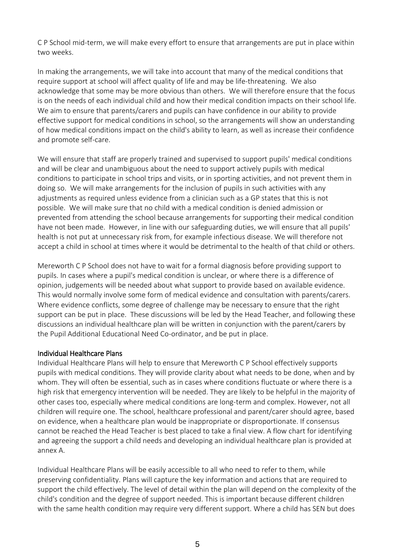C P School mid-term, we will make every effort to ensure that arrangements are put in place within two weeks.

In making the arrangements, we will take into account that many of the medical conditions that require support at school will affect quality of life and may be life-threatening. We also acknowledge that some may be more obvious than others. We will therefore ensure that the focus is on the needs of each individual child and how their medical condition impacts on their school life. We aim to ensure that parents/carers and pupils can have confidence in our ability to provide effective support for medical conditions in school, so the arrangements will show an understanding of how medical conditions impact on the child's ability to learn, as well as increase their confidence and promote self-care.

We will ensure that staff are properly trained and supervised to support pupils' medical conditions and will be clear and unambiguous about the need to support actively pupils with medical conditions to participate in school trips and visits, or in sporting activities, and not prevent them in doing so. We will make arrangements for the inclusion of pupils in such activities with any adjustments as required unless evidence from a clinician such as a GP states that this is not possible. We will make sure that no child with a medical condition is denied admission or prevented from attending the school because arrangements for supporting their medical condition have not been made. However, in line with our safeguarding duties, we will ensure that all pupils' health is not put at unnecessary risk from, for example infectious disease. We will therefore not accept a child in school at times where it would be detrimental to the health of that child or others.

Mereworth C P School does not have to wait for a formal diagnosis before providing support to pupils. In cases where a pupil's medical condition is unclear, or where there is a difference of opinion, judgements will be needed about what support to provide based on available evidence. This would normally involve some form of medical evidence and consultation with parents/carers. Where evidence conflicts, some degree of challenge may be necessary to ensure that the right support can be put in place. These discussions will be led by the Head Teacher, and following these discussions an individual healthcare plan will be written in conjunction with the parent/carers by the Pupil Additional Educational Need Co-ordinator, and be put in place.

#### Individual Healthcare Plans

Individual Healthcare Plans will help to ensure that Mereworth C P School effectively supports pupils with medical conditions. They will provide clarity about what needs to be done, when and by whom. They will often be essential, such as in cases where conditions fluctuate or where there is a high risk that emergency intervention will be needed. They are likely to be helpful in the majority of other cases too, especially where medical conditions are long-term and complex. However, not all children will require one. The school, healthcare professional and parent/carer should agree, based on evidence, when a healthcare plan would be inappropriate or disproportionate. If consensus cannot be reached the Head Teacher is best placed to take a final view. A flow chart for identifying and agreeing the support a child needs and developing an individual healthcare plan is provided at annex A.

Individual Healthcare Plans will be easily accessible to all who need to refer to them, while preserving confidentiality. Plans will capture the key information and actions that are required to support the child effectively. The level of detail within the plan will depend on the complexity of the child's condition and the degree of support needed. This is important because different children with the same health condition may require very different support. Where a child has SEN but does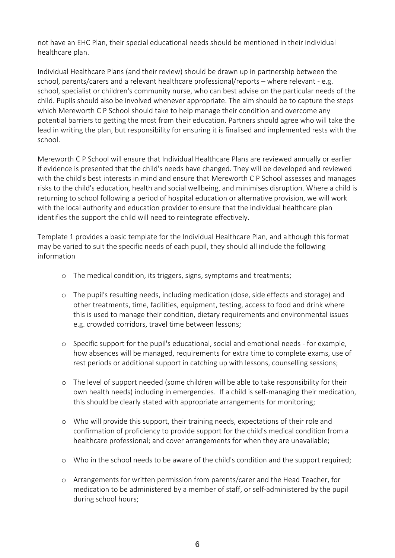not have an EHC Plan, their special educational needs should be mentioned in their individual healthcare plan.

Individual Healthcare Plans (and their review) should be drawn up in partnership between the school, parents/carers and a relevant healthcare professional/reports – where relevant - e.g. school, specialist or children's community nurse, who can best advise on the particular needs of the child. Pupils should also be involved whenever appropriate. The aim should be to capture the steps which Mereworth C P School should take to help manage their condition and overcome any potential barriers to getting the most from their education. Partners should agree who will take the lead in writing the plan, but responsibility for ensuring it is finalised and implemented rests with the school.

Mereworth C P School will ensure that Individual Healthcare Plans are reviewed annually or earlier if evidence is presented that the child's needs have changed. They will be developed and reviewed with the child's best interests in mind and ensure that Mereworth C P School assesses and manages risks to the child's education, health and social wellbeing, and minimises disruption. Where a child is returning to school following a period of hospital education or alternative provision, we will work with the local authority and education provider to ensure that the individual healthcare plan identifies the support the child will need to reintegrate effectively.

Template 1 provides a basic template for the Individual Healthcare Plan, and although this format may be varied to suit the specific needs of each pupil, they should all include the following information

- o The medical condition, its triggers, signs, symptoms and treatments;
- o The pupil's resulting needs, including medication (dose, side effects and storage) and other treatments, time, facilities, equipment, testing, access to food and drink where this is used to manage their condition, dietary requirements and environmental issues e.g. crowded corridors, travel time between lessons;
- o Specific support for the pupil's educational, social and emotional needs for example, how absences will be managed, requirements for extra time to complete exams, use of rest periods or additional support in catching up with lessons, counselling sessions;
- o The level of support needed (some children will be able to take responsibility for their own health needs) including in emergencies. If a child is self-managing their medication, this should be clearly stated with appropriate arrangements for monitoring;
- o Who will provide this support, their training needs, expectations of their role and confirmation of proficiency to provide support for the child's medical condition from a healthcare professional; and cover arrangements for when they are unavailable;
- o Who in the school needs to be aware of the child's condition and the support required;
- o Arrangements for written permission from parents/carer and the Head Teacher, for medication to be administered by a member of staff, or self-administered by the pupil during school hours;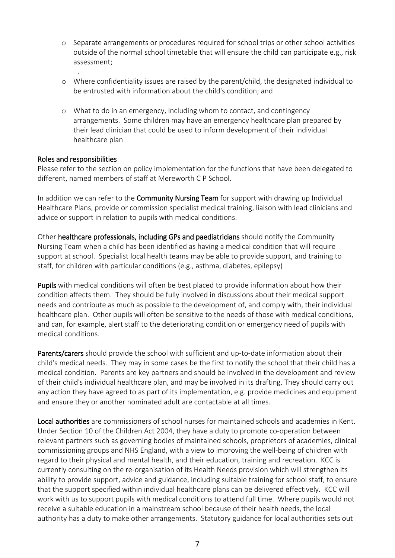- o Separate arrangements or procedures required for school trips or other school activities outside of the normal school timetable that will ensure the child can participate e.g., risk assessment;
- . o Where confidentiality issues are raised by the parent/child, the designated individual to be entrusted with information about the child's condition; and
- o What to do in an emergency, including whom to contact, and contingency arrangements. Some children may have an emergency healthcare plan prepared by their lead clinician that could be used to inform development of their individual healthcare plan

#### Roles and responsibilities

Please refer to the section on policy implementation for the functions that have been delegated to different, named members of staff at Mereworth C P School.

In addition we can refer to the **Community Nursing Team** for support with drawing up Individual Healthcare Plans, provide or commission specialist medical training, liaison with lead clinicians and advice or support in relation to pupils with medical conditions.

Other healthcare professionals, including GPs and paediatricians should notify the Community Nursing Team when a child has been identified as having a medical condition that will require support at school. Specialist local health teams may be able to provide support, and training to staff, for children with particular conditions (e.g., asthma, diabetes, epilepsy)

Pupils with medical conditions will often be best placed to provide information about how their condition affects them. They should be fully involved in discussions about their medical support needs and contribute as much as possible to the development of, and comply with, their individual healthcare plan. Other pupils will often be sensitive to the needs of those with medical conditions, and can, for example, alert staff to the deteriorating condition or emergency need of pupils with medical conditions.

Parents/carers should provide the school with sufficient and up-to-date information about their child's medical needs. They may in some cases be the first to notify the school that their child has a medical condition. Parents are key partners and should be involved in the development and review of their child's individual healthcare plan, and may be involved in its drafting. They should carry out any action they have agreed to as part of its implementation, e.g. provide medicines and equipment and ensure they or another nominated adult are contactable at all times.

Local authorities are commissioners of school nurses for maintained schools and academies in Kent. Under Section 10 of the Children Act 2004, they have a duty to promote co-operation between relevant partners such as governing bodies of maintained schools, proprietors of academies, clinical commissioning groups and NHS England, with a view to improving the well-being of children with regard to their physical and mental health, and their education, training and recreation. KCC is currently consulting on the re-organisation of its Health Needs provision which will strengthen its ability to provide support, advice and guidance, including suitable training for school staff, to ensure that the support specified within individual healthcare plans can be delivered effectively. KCC will work with us to support pupils with medical conditions to attend full time. Where pupils would not receive a suitable education in a mainstream school because of their health needs, the local authority has a duty to make other arrangements. Statutory guidance for local authorities sets out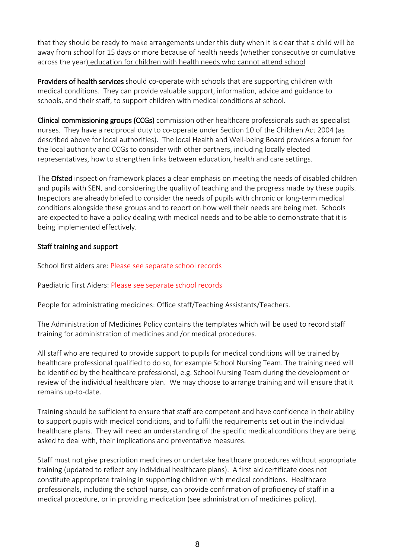that they should be ready to make arrangements under this duty when it is clear that a child will be away from school for 15 days or more because of health needs (whether consecutive or cumulative across the year) [education](https://www.gov.uk/government/publications/education-for-children-with-health-needs-who-cannot-attend-school) for children with health needs who cannot attend school

Providers of health services should co-operate with schools that are supporting children with medical conditions. They can provide valuable support, information, advice and guidance to schools, and their staff, to support children with medical conditions at school.

Clinical commissioning groups (CCGs) commission other healthcare professionals such as specialist nurses. They have a reciprocal duty to co-operate under Section 10 of the Children Act 2004 (as described above for local authorities). The local Health and Well-being Board provides a forum for the local authority and CCGs to consider with other partners, including locally elected representatives, how to strengthen links between education, health and care settings.

The **Ofsted** inspection framework places a clear emphasis on meeting the needs of disabled children and pupils with SEN, and considering the quality of teaching and the progress made by these pupils. Inspectors are already briefed to consider the needs of pupils with chronic or long-term medical conditions alongside these groups and to report on how well their needs are being met. Schools are expected to have a policy dealing with medical needs and to be able to demonstrate that it is being implemented effectively.

#### Staff training and support

School first aiders are: Please see separate school records

Paediatric First Aiders: Please see separate school records

People for administrating medicines: Office staff/Teaching Assistants/Teachers.

The Administration of Medicines Policy contains the templates which will be used to record staff training for administration of medicines and /or medical procedures.

All staff who are required to provide support to pupils for medical conditions will be trained by healthcare professional qualified to do so, for example School Nursing Team. The training need will be identified by the healthcare professional, e.g. School Nursing Team during the development or review of the individual healthcare plan. We may choose to arrange training and will ensure that it remains up-to-date.

Training should be sufficient to ensure that staff are competent and have confidence in their ability to support pupils with medical conditions, and to fulfil the requirements set out in the individual healthcare plans. They will need an understanding of the specific medical conditions they are being asked to deal with, their implications and preventative measures.

Staff must not give prescription medicines or undertake healthcare procedures without appropriate training (updated to reflect any individual healthcare plans). A first aid certificate does not constitute appropriate training in supporting children with medical conditions. Healthcare professionals, including the school nurse, can provide confirmation of proficiency of staff in a medical procedure, or in providing medication (see administration of medicines policy).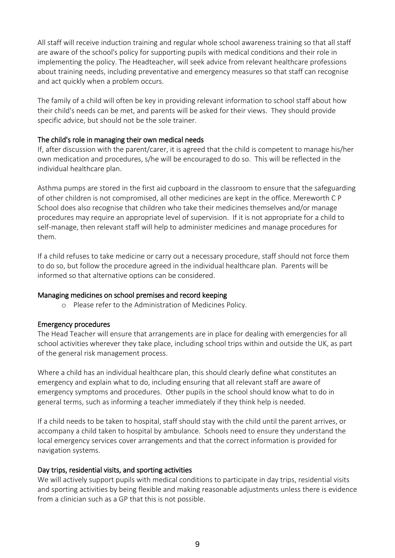All staff will receive induction training and regular whole school awareness training so that all staff are aware of the school's policy for supporting pupils with medical conditions and their role in implementing the policy. The Headteacher, will seek advice from relevant healthcare professions about training needs, including preventative and emergency measures so that staff can recognise and act quickly when a problem occurs.

The family of a child will often be key in providing relevant information to school staff about how their child's needs can be met, and parents will be asked for their views. They should provide specific advice, but should not be the sole trainer.

#### The child's role in managing their own medical needs

If, after discussion with the parent/carer, it is agreed that the child is competent to manage his/her own medication and procedures, s/he will be encouraged to do so. This will be reflected in the individual healthcare plan.

Asthma pumps are stored in the first aid cupboard in the classroom to ensure that the safeguarding of other children is not compromised, all other medicines are kept in the office. Mereworth C P School does also recognise that children who take their medicines themselves and/or manage procedures may require an appropriate level of supervision. If it is not appropriate for a child to self-manage, then relevant staff will help to administer medicines and manage procedures for them.

If a child refuses to take medicine or carry out a necessary procedure, staff should not force them to do so, but follow the procedure agreed in the individual healthcare plan. Parents will be informed so that alternative options can be considered.

#### Managing medicines on school premises and record keeping

o Please refer to the Administration of Medicines Policy.

#### Emergency procedures

The Head Teacher will ensure that arrangements are in place for dealing with emergencies for all school activities wherever they take place, including school trips within and outside the UK, as part of the general risk management process.

Where a child has an individual healthcare plan, this should clearly define what constitutes an emergency and explain what to do, including ensuring that all relevant staff are aware of emergency symptoms and procedures. Other pupils in the school should know what to do in general terms, such as informing a teacher immediately if they think help is needed.

If a child needs to be taken to hospital, staff should stay with the child until the parent arrives, or accompany a child taken to hospital by ambulance. Schools need to ensure they understand the local emergency services cover arrangements and that the correct information is provided for navigation systems.

#### Day trips, residential visits, and sporting activities

We will actively support pupils with medical conditions to participate in day trips, residential visits and sporting activities by being flexible and making reasonable adjustments unless there is evidence from a clinician such as a GP that this is not possible.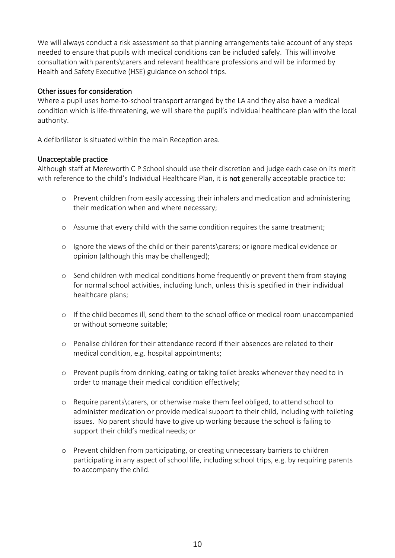We will always conduct a risk assessment so that planning arrangements take account of any steps needed to ensure that pupils with medical conditions can be included safely. This will involve consultation with parents\carers and relevant healthcare professions and will be informed by Health and Safety Executive (HSE) guidance on school trips.

#### Other issues for consideration

Where a pupil uses home-to-school transport arranged by the LA and they also have a medical condition which is life-threatening, we will share the pupil's individual healthcare plan with the local authority.

A defibrillator is situated within the main Reception area.

#### Unacceptable practice

Although staff at Mereworth C P School should use their discretion and judge each case on its merit with reference to the child's Individual Healthcare Plan, it is not generally acceptable practice to:

- o Prevent children from easily accessing their inhalers and medication and administering their medication when and where necessary;
- o Assume that every child with the same condition requires the same treatment;
- o Ignore the views of the child or their parents\carers; or ignore medical evidence or opinion (although this may be challenged);
- o Send children with medical conditions home frequently or prevent them from staying for normal school activities, including lunch, unless this is specified in their individual healthcare plans;
- o If the child becomes ill, send them to the school office or medical room unaccompanied or without someone suitable;
- o Penalise children for their attendance record if their absences are related to their medical condition, e.g. hospital appointments;
- o Prevent pupils from drinking, eating or taking toilet breaks whenever they need to in order to manage their medical condition effectively;
- o Require parents\carers, or otherwise make them feel obliged, to attend school to administer medication or provide medical support to their child, including with toileting issues. No parent should have to give up working because the school is failing to support their child's medical needs; or
- o Prevent children from participating, or creating unnecessary barriers to children participating in any aspect of school life, including school trips, e.g. by requiring parents to accompany the child.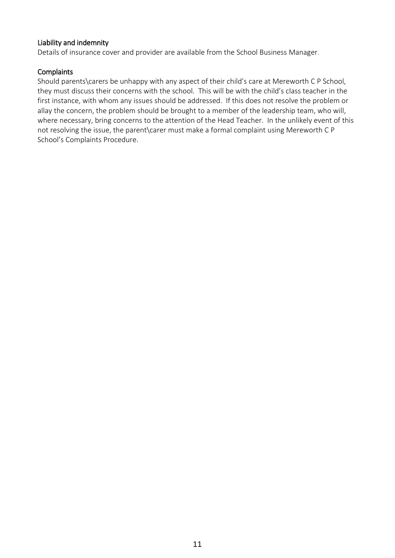#### Liability and indemnity

Details of insurance cover and provider are available from the School Business Manager.

#### **Complaints**

Should parents\carers be unhappy with any aspect of their child's care at Mereworth C P School, they must discuss their concerns with the school. This will be with the child's class teacher in the first instance, with whom any issues should be addressed. If this does not resolve the problem or allay the concern, the problem should be brought to a member of the leadership team, who will, where necessary, bring concerns to the attention of the Head Teacher. In the unlikely event of this not resolving the issue, the parent\carer must make a formal complaint using Mereworth C P School's Complaints Procedure.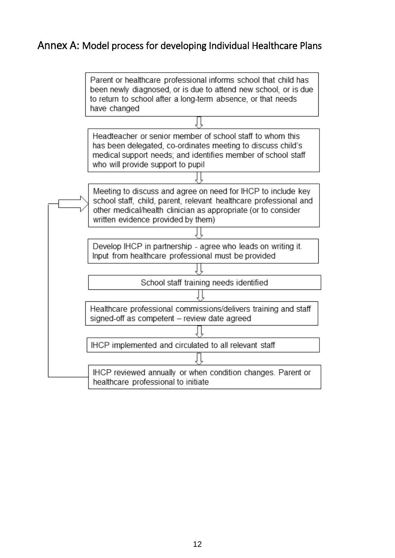### Annex A: Model process for developing Individual Healthcare Plans

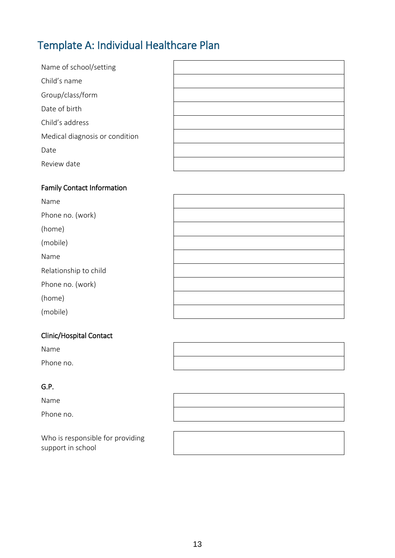## Template A: Individual Healthcare Plan

| Name of school/setting         |  |
|--------------------------------|--|
| Child's name                   |  |
| Group/class/form               |  |
| Date of birth                  |  |
| Child's address                |  |
| Medical diagnosis or condition |  |
| Date                           |  |
| Review date                    |  |

### Family Contact Information

| Name                  |  |
|-----------------------|--|
| Phone no. (work)      |  |
| (home)                |  |
| (mobile)              |  |
| Name                  |  |
| Relationship to child |  |
| Phone no. (work)      |  |
| (home)                |  |
| (mobile)              |  |

#### Clinic/Hospital Contact

Name

Phone no.

#### G.P.

Name

Phone no.

Who is responsible for providing support in school

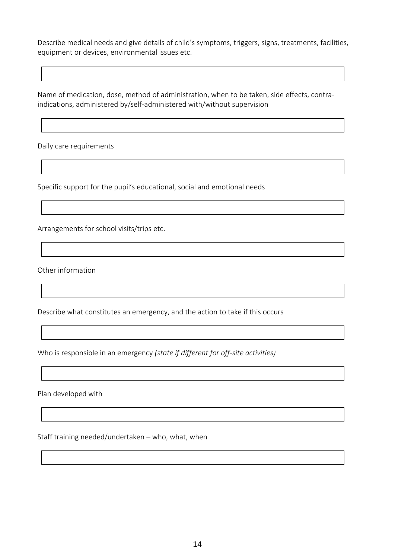Describe medical needs and give details of child's symptoms, triggers, signs, treatments, facilities, equipment or devices, environmental issues etc.

Name of medication, dose, method of administration, when to be taken, side effects, contraindications, administered by/self-administered with/without supervision

Daily care requirements

Specific support for the pupil's educational, social and emotional needs

Arrangements for school visits/trips etc.

Other information

Describe what constitutes an emergency, and the action to take if this occurs

Who is responsible in an emergency *(state if different for off-site activities)*

Plan developed with

Staff training needed/undertaken – who, what, when